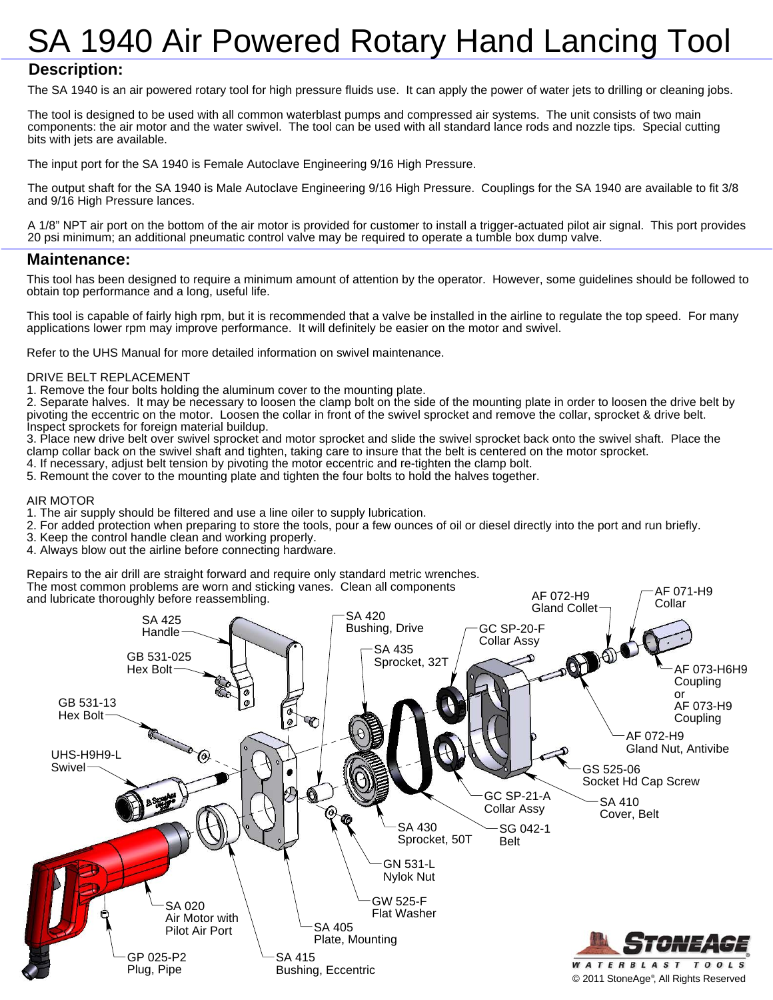# SA 1940 Air Powered Rotary Hand Lancing Tool

### **Description:**

The SA 1940 is an air powered rotary tool for high pressure fluids use. It can apply the power of water jets to drilling or cleaning jobs.

The tool is designed to be used with all common waterblast pumps and compressed air systems. The unit consists of two main components: the air motor and the water swivel. The tool can be used with all standard lance rods and nozzle tips. Special cutting bits with jets are available.

The input port for the SA 1940 is Female Autoclave Engineering 9/16 High Pressure.

The output shaft for the SA 1940 is Male Autoclave Engineering 9/16 High Pressure. Couplings for the SA 1940 are available to fit 3/8 and 9/16 High Pressure lances.

A 1/8" NPT air port on the bottom of the air motor is provided for customer to install a trigger-actuated pilot air signal. This port provides 20 psi minimum; an additional pneumatic control valve may be required to operate a tumble box dump valve.

#### **Maintenance:**

This tool has been designed to require a minimum amount of attention by the operator. However, some guidelines should be followed to obtain top performance and a long, useful life.

This tool is capable of fairly high rpm, but it is recommended that a valve be installed in the airline to regulate the top speed. For many applications lower rpm may improve performance. It will definitely be easier on the motor and swivel.

Refer to the UHS Manual for more detailed information on swivel maintenance.

#### DRIVE BELT REPLACEMENT

1. Remove the four bolts holding the aluminum cover to the mounting plate.

2. Separate halves. It may be necessary to loosen the clamp bolt on the side of the mounting plate in order to loosen the drive belt by pivoting the eccentric on the motor. Loosen the collar in front of the swivel sprocket and remove the collar, sprocket & drive belt. Inspect sprockets for foreign material buildup.

3. Place new drive belt over swivel sprocket and motor sprocket and slide the swivel sprocket back onto the swivel shaft. Place the clamp collar back on the swivel shaft and tighten, taking care to insure that the belt is centered on the motor sprocket.

- 4. If necessary, adjust belt tension by pivoting the motor eccentric and re-tighten the clamp bolt.
- 5. Remount the cover to the mounting plate and tighten the four bolts to hold the halves together.

#### AIR MOTOR

- 1. The air supply should be filtered and use a line oiler to supply lubrication.
- 2. For added protection when preparing to store the tools, pour a few ounces of oil or diesel directly into the port and run briefly.
- 3. Keep the control handle clean and working properly.
- 4. Always blow out the airline before connecting hardware.

Repairs to the air drill are straight forward and require only standard metric wrenches.

The most common problems are worn and sticking vanes. Clean all components

and lubricate thoroughly before reassembling.



AF 072-H9

AF 071-H9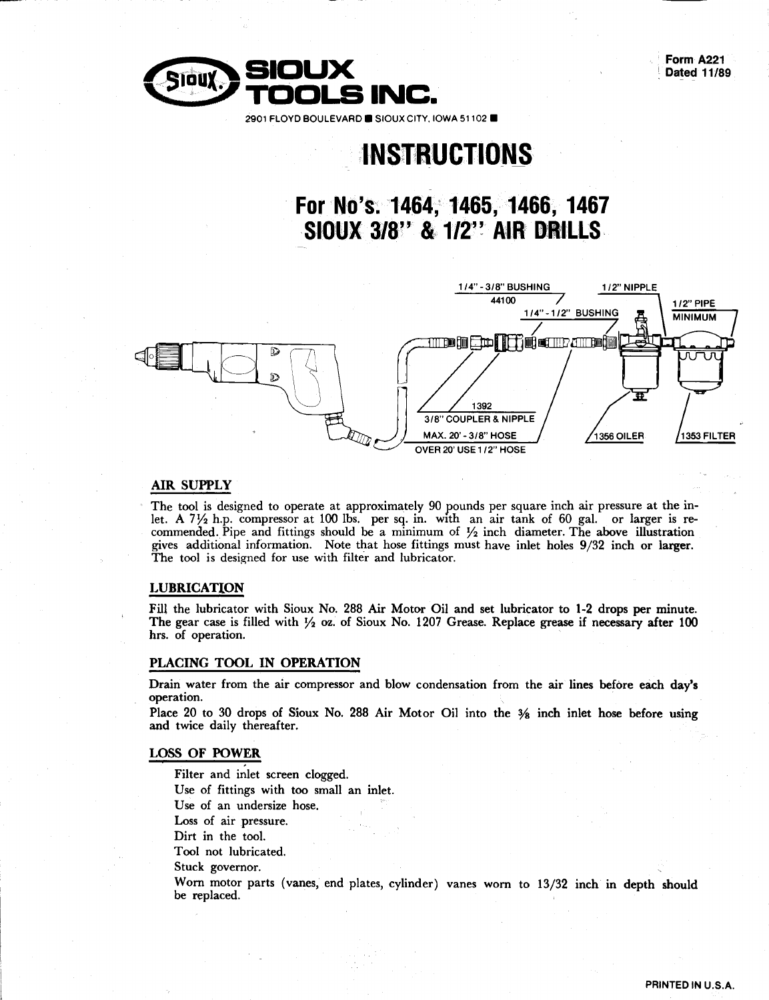Form A221 Dated 11/89



## **INSTRUCTIONS**

For No's: 1464, 1465, 1466, 1467 **SIOUX 3/8" & 1/2" AIR DRILLS** 



#### **AIR SUPPLY**

The tool is designed to operate at approximately 90 pounds per square inch air pressure at the inlet. A  $7\frac{1}{2}$  h.p. compressor at 100 lbs. per sq. in. with an air tank of 60 gal. or larger is re-<br>commended. Pipe and fittings should be a minimum of  $\frac{1}{2}$  inch diameter. The above illustration gives additional information. Note that hose fittings must have inlet holes 9/32 inch or larger. The tool is designed for use with filter and lubricator.

#### **LUBRICATION**

Fill the lubricator with Sioux No. 288 Air Motor Oil and set lubricator to 1-2 drops per minute. The gear case is filled with  $\frac{1}{2}$  oz. of Sioux No. 1207 Grease. Replace grease if necessary after 100 hrs. of operation.

#### PLACING TOOL IN OPERATION

Drain water from the air compressor and blow condensation from the air lines before each day's operation.

Place 20 to 30 drops of Sioux No. 288 Air Motor Oil into the 3% inch inlet hose before using and twice daily thereafter.

#### **LOSS OF POWER**

Filter and inlet screen clogged. Use of fittings with too small an inlet. Use of an undersize hose. Loss of air pressure. Dirt in the tool.

Tool not lubricated.

Stuck governor.

Worn motor parts (vanes, end plates, cylinder) vanes worn to 13/32 inch in depth should be replaced.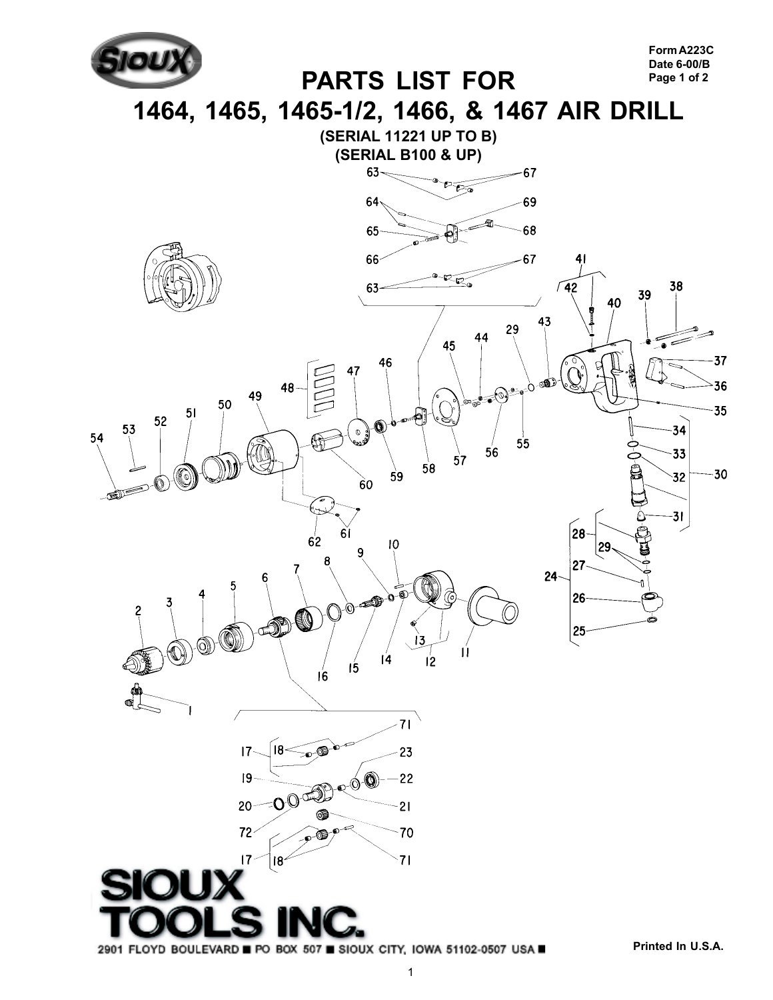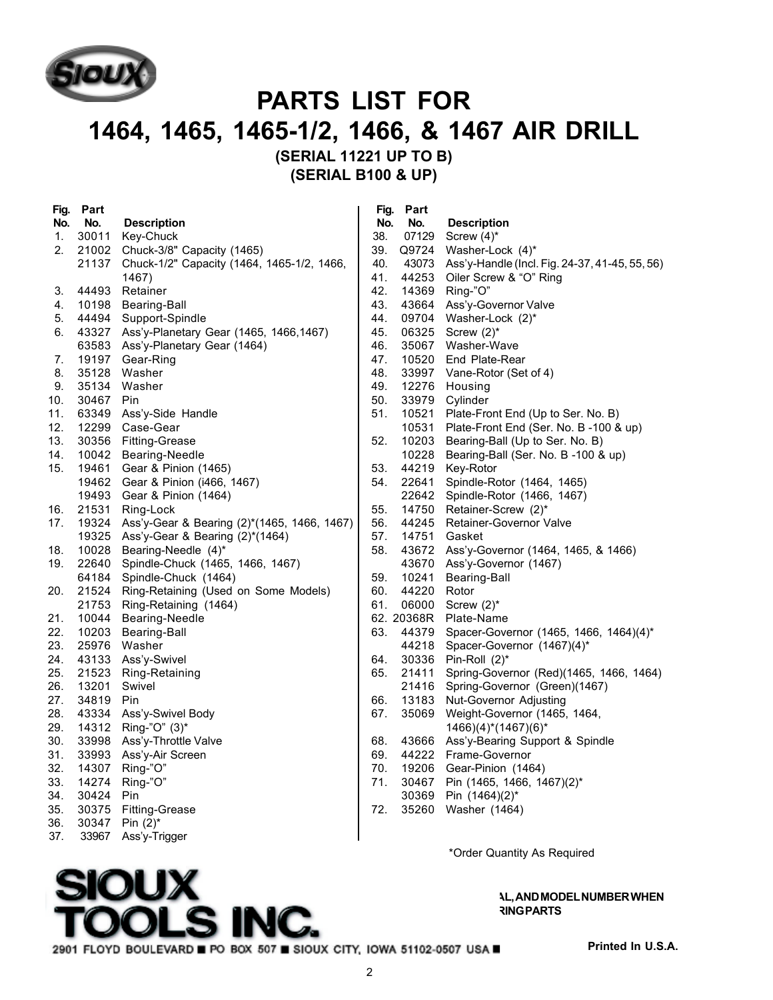

## **PARTS LIST FOR 1464, 1465, 1465-1/2, 1466, & 1467 AIR DRILL (SERIAL 11221 UP TO B)**

**(SERIAL B100 & UP)**

| Fig. | Part  |                                                   | Fig. | Part       |                                                |
|------|-------|---------------------------------------------------|------|------------|------------------------------------------------|
| No.  | No.   | <b>Description</b>                                | No.  | No.        | <b>Description</b>                             |
| 1.   | 30011 | Key-Chuck                                         | 38.  | 07129      | Screw $(4)^*$                                  |
| 2.   |       | 21002 Chuck-3/8" Capacity (1465)                  | 39.  | Q9724      | Washer-Lock (4)*                               |
|      |       | 21137 Chuck-1/2" Capacity (1464, 1465-1/2, 1466,  | 40.  | 43073      | Ass'y-Handle (Incl. Fig. 24-37, 41-45, 55, 56) |
|      |       | 1467)                                             | 41.  | 44253      | Oiler Screw & "O" Ring                         |
| 3.   |       | 44493 Retainer                                    | 42.  | 14369      | Ring-"O"                                       |
| 4.   |       | 10198 Bearing-Ball                                | 43.  | 43664      | Ass'y-Governor Valve                           |
| 5.   |       | 44494 Support-Spindle                             | 44.  | 09704      | Washer-Lock (2)*                               |
| 6.   | 43327 | Ass'y-Planetary Gear (1465, 1466, 1467)           | 45.  | 06325      | Screw $(2)^*$                                  |
|      | 63583 | Ass'y-Planetary Gear (1464)                       | 46.  | 35067      | Washer-Wave                                    |
| 7.   |       | 19197 Gear-Ring                                   | 47.  | 10520      | End Plate-Rear                                 |
| 8.   | 35128 | Washer                                            | 48.  | 33997      | Vane-Rotor (Set of 4)                          |
| 9.   | 35134 | Washer                                            | 49.  | 12276      | Housing                                        |
| 10.  | 30467 | Pin                                               | 50.  | 33979      | Cylinder                                       |
| 11.  | 63349 | Ass'y-Side Handle                                 | 51.  | 10521      | Plate-Front End (Up to Ser. No. B)             |
| 12.  |       | 12299 Case-Gear                                   |      | 10531      | Plate-Front End (Ser. No. B -100 & up)         |
| 13.  |       | 30356 Fitting-Grease                              | 52.  | 10203      | Bearing-Ball (Up to Ser. No. B)                |
| 14.  |       | 10042 Bearing-Needle                              |      | 10228      | Bearing-Ball (Ser. No. B -100 & up)            |
| 15.  |       | 19461 Gear & Pinion (1465)                        | 53.  | 44219      | Key-Rotor                                      |
|      |       | 19462 Gear & Pinion (i466, 1467)                  | 54.  | 22641      | Spindle-Rotor (1464, 1465)                     |
|      |       | 19493 Gear & Pinion (1464)                        |      | 22642      | Spindle-Rotor (1466, 1467)                     |
| 16.  |       | 21531 Ring-Lock                                   | 55.  | 14750      | Retainer-Screw (2)*                            |
| 17.  |       | 19324 Ass'y-Gear & Bearing (2)*(1465, 1466, 1467) | 56.  | 44245      | Retainer-Governor Valve                        |
|      |       | 19325 Ass'y-Gear & Bearing (2)*(1464)             | 57.  | 14751      | Gasket                                         |
| 18.  |       | 10028 Bearing-Needle (4)*                         | 58.  | 43672      | Ass'y-Governor (1464, 1465, & 1466)            |
| 19.  |       | 22640 Spindle-Chuck (1465, 1466, 1467)            |      | 43670      | Ass'y-Governor (1467)                          |
|      |       | 64184 Spindle-Chuck (1464)                        | 59.  | 10241      | Bearing-Ball                                   |
| 20.  |       | 21524 Ring-Retaining (Used on Some Models)        | 60.  | 44220      | Rotor                                          |
|      | 21753 | Ring-Retaining (1464)                             | 61.  | 06000      | Screw $(2)^*$                                  |
| 21.  |       | 10044 Bearing-Needle                              |      | 62. 20368R | Plate-Name                                     |
| 22.  |       | 10203 Bearing-Ball                                | 63.  | 44379      | Spacer-Governor (1465, 1466, 1464)(4)*         |
| 23.  |       | 25976 Washer                                      |      | 44218      | Spacer-Governor (1467)(4)*                     |
| 24.  | 43133 | Ass'y-Swivel                                      | 64.  |            | 30336 Pin-Roll (2)*                            |
| 25.  | 21523 | Ring-Retaining                                    | 65.  | 21411      | Spring-Governor (Red)(1465, 1466, 1464)        |
| 26.  | 13201 | Swivel                                            |      | 21416      | Spring-Governor (Green)(1467)                  |
| 27.  | 34819 | Pin                                               | 66.  | 13183      | Nut-Governor Adjusting                         |
| 28.  |       | 43334 Ass'y-Swivel Body                           | 67.  | 35069      | Weight-Governor (1465, 1464,                   |
| 29.  |       | 14312 Ring-"O" (3)*                               |      |            | $(1466)(4)^*(1467)(6)^*$                       |
| 30.  | 33998 | Ass'y-Throttle Valve                              | 68.  | 43666      | Ass'y-Bearing Support & Spindle                |
| 31.  | 33993 | Ass'y-Air Screen                                  | 69.  |            | 44222 Frame-Governor                           |
| 32.  | 14307 | Ring-"O"                                          | 70.  | 19206      | Gear-Pinion (1464)                             |
| 33.  | 14274 | Ring-"O"                                          | 71.  | 30467      | Pin (1465, 1466, 1467)(2)*                     |
| 34.  | 30424 | Pin                                               |      | 30369      | Pin (1464)(2)*                                 |
| 35.  | 30375 | Fitting-Grease                                    | 72.  | 35260      | Washer (1464)                                  |
| 36.  | 30347 | Pin $(2)^*$                                       |      |            |                                                |
| 37.  | 33967 | Ass'y-Trigger                                     |      |            |                                                |

\*Order Quantity As Required

**AL, AND MODEL NUMBER WHEN RINGPARTS** 



2901 FLOYD BOULEVARD PO BOX 507 BIOUX CITY, IOWA 51102-0507 USA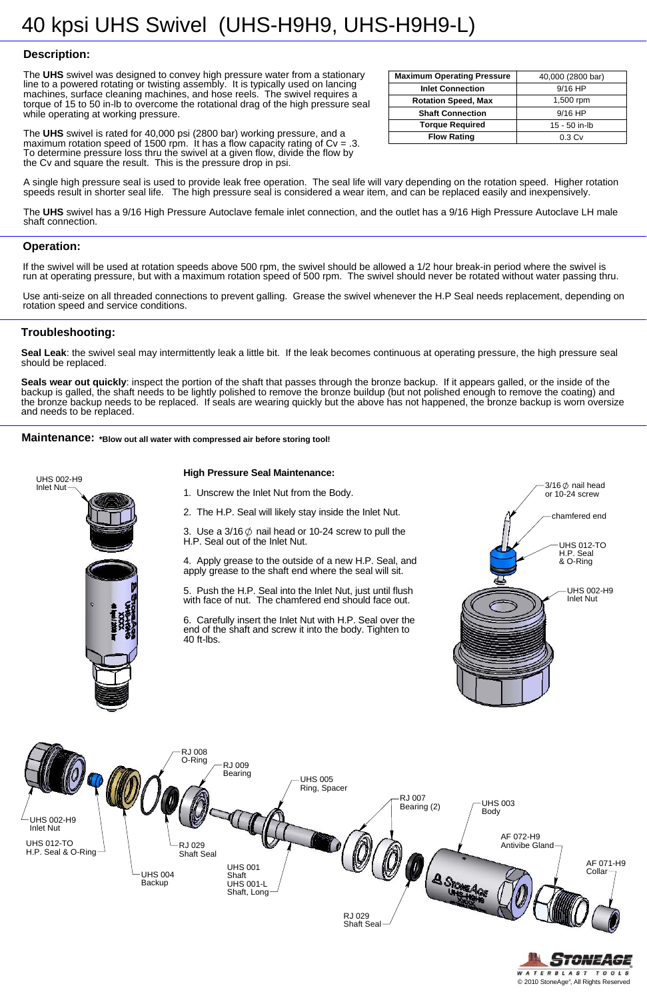

**High Pressure Seal Maintenance:**

Seal Leak: the swivel seal may intermittently leak a little bit. If the leak becomes continuous at operating pressure, the high pressure seal should be replaced.

## **Troubleshooting:**

**Seals wear out quickly**: inspect the portion of the shaft that passes through the bronze backup. If it appears galled, or the inside of the backup is galled, the shaft needs to be lightly polished to remove the bronze buildup (but not polished enough to remove the coating) and the bronze backup needs to be replaced. If seals are wearing quickly but the above has not happened, the bronze backup is worn oversize and needs to be replaced.

**Maintenance:** \*Blow out all water with compressed air before storing tool!



### **Operation:**

If the swivel will be used at rotation speeds above 500 rpm, the swivel should be allowed a 1/2 hour break-in period where the swivel is run at operating pressure, but with a maximum rotation speed of 500 rpm. The swivel should never be rotated without water passing thru.



Use anti-seize on all threaded connections to prevent galling. Grease the swivel whenever the H.P Seal needs replacement, depending on rotation speed and service conditions.

## **Description:**

The **UHS** swivel was designed to convey high pressure water from a stationary line to a powered rotating or twisting assembly. It is typically used on lancing machines, surface cleaning machines, and hose reels. The swivel requires a torque of 15 to 50 in-lb to overcome the rotational drag of the high pressure seal while operating at working pressure.

The **UHS** swivel is rated for 40,000 psi (2800 bar) working pressure, and a maximum rotation speed of 1500 rpm. It has a flow capacity rating of  $Cv = .3$ . To determine pressure loss thru the swivel at a given flow, divide the flow by the Cv and square the result. This is the pressure drop in psi.

A single high pressure seal is used to provide leak free operation. The seal life will vary depending on the rotation speed. Higher rotation speeds result in shorter seal life. The high pressure seal is considered a wear item, and can be replaced easily and inexpensively.

The **UHS** swivel has a 9/16 High Pressure Autoclave female inlet connection, and the outlet has a 9/16 High Pressure Autoclave LH male shaft connection.

| <b>Maximum Operating Pressure</b> | 40,000 (2800 bar) |  |  |
|-----------------------------------|-------------------|--|--|
| <b>Inlet Connection</b>           | $9/16$ HP         |  |  |
| <b>Rotation Speed, Max</b>        | $1,500$ rpm       |  |  |
| <b>Shaft Connection</b>           | $9/16$ HP         |  |  |
| <b>Torque Required</b>            | 15 - 50 in-lb     |  |  |
| <b>Flow Rating</b>                | 0.3 <sub>Cv</sub> |  |  |